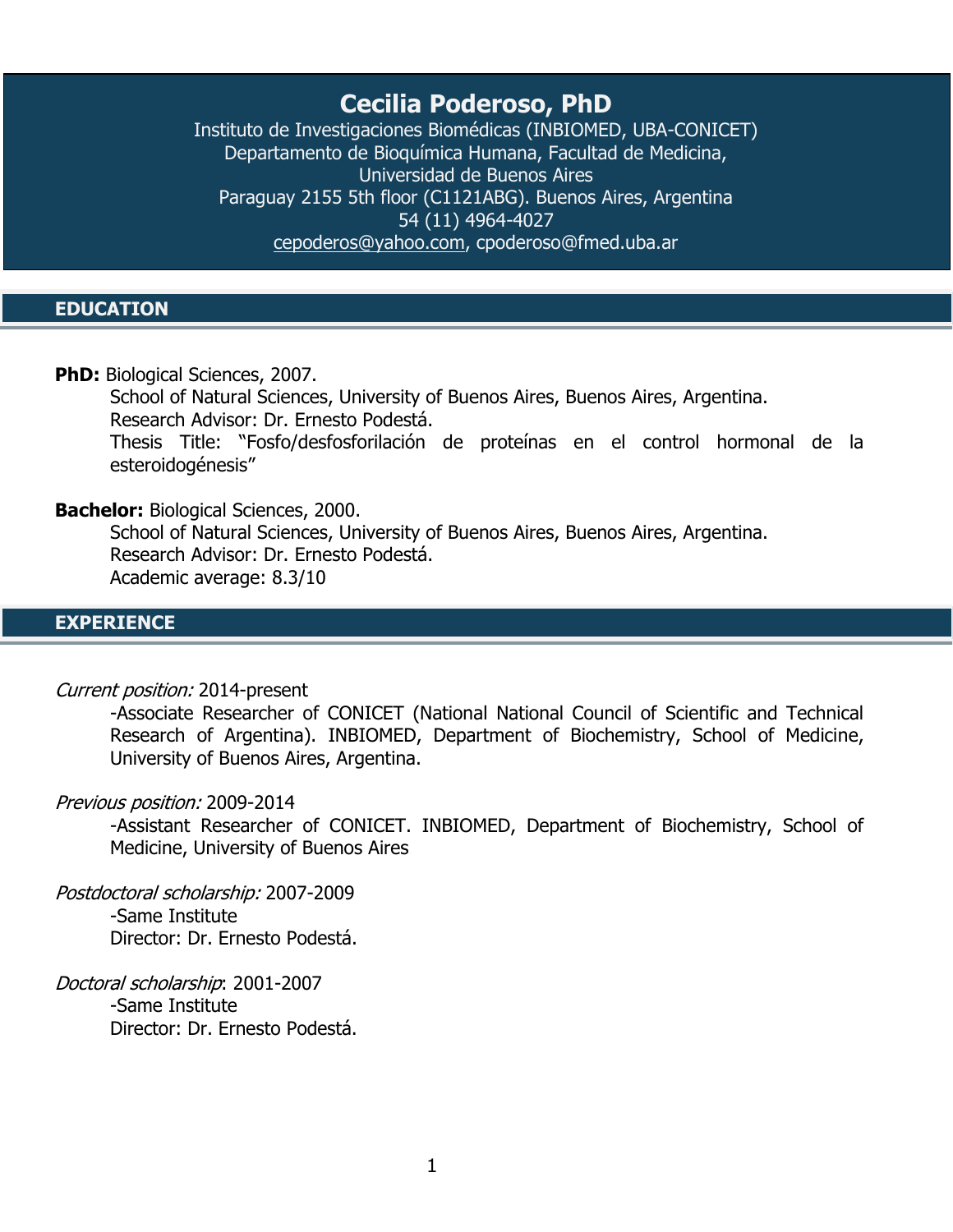# **Cecilia Poderoso, PhD**

Instituto de Investigaciones Biomédicas (INBIOMED, UBA-CONICET) Departamento de Bioquímica Humana, Facultad de Medicina, Universidad de Buenos Aires Paraguay 2155 5th floor (C1121ABG). Buenos Aires, Argentina 54 (11) 4964-4027 [cepoderos@yahoo.com,](mailto:cepoderos@yahoo.com) cpoderoso@fmed.uba.ar

## **EDUCATION**

**PhD:** Biological Sciences, 2007.

School of Natural Sciences, University of Buenos Aires, Buenos Aires, Argentina. Research Advisor: Dr. Ernesto Podestá.

Thesis Title: "Fosfo/desfosforilación de proteínas en el control hormonal de la esteroidogénesis"

#### **Bachelor:** Biological Sciences, 2000.

School of Natural Sciences, University of Buenos Aires, Buenos Aires, Argentina. Research Advisor: Dr. Ernesto Podestá. Academic average: 8.3/10

### **EXPERIENCE**

#### Current position: 2014-present

-Associate Researcher of CONICET (National National Council of Scientific and Technical Research of Argentina). INBIOMED, Department of Biochemistry, School of Medicine, University of Buenos Aires, Argentina.

#### Previous position: 2009-2014

-Assistant Researcher of CONICET. INBIOMED, Department of Biochemistry, School of Medicine, University of Buenos Aires

Postdoctoral scholarship: 2007-2009 -Same Institute Director: Dr. Ernesto Podestá.

Doctoral scholarship: 2001-2007 -Same Institute Director: Dr. Ernesto Podestá.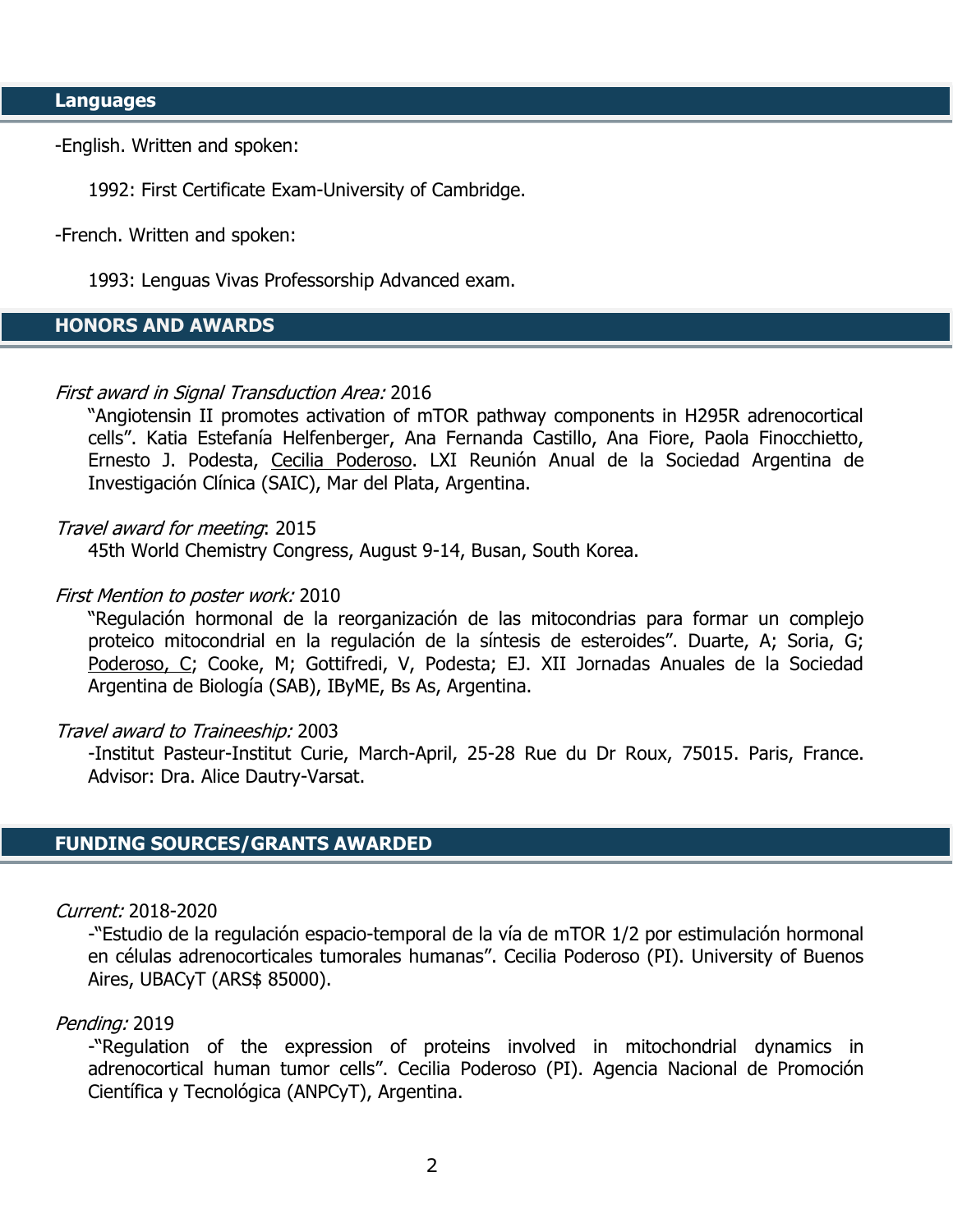-English. Written and spoken:

1992: First Certificate Exam-University of Cambridge.

-French. Written and spoken:

1993: Lenguas Vivas Professorship Advanced exam.

# **HONORS AND AWARDS**

#### First award in Signal Transduction Area: 2016

"Angiotensin II promotes activation of mTOR pathway components in H295R adrenocortical cells". Katia Estefanía Helfenberger, Ana Fernanda Castillo, Ana Fiore, Paola Finocchietto, Ernesto J. Podesta, Cecilia Poderoso. LXI Reunión Anual de la Sociedad Argentina de Investigación Clínica (SAIC), Mar del Plata, Argentina.

#### Travel award for meeting: 2015

45th World Chemistry Congress, August 9-14, Busan, South Korea.

#### First Mention to poster work: 2010

"Regulación hormonal de la reorganización de las mitocondrias para formar un complejo proteico mitocondrial en la regulación de la síntesis de esteroides". Duarte, A; Soria, G; Poderoso, C; Cooke, M; Gottifredi, V, Podesta; EJ. XII Jornadas Anuales de la Sociedad Argentina de Biología (SAB), IByME, Bs As, Argentina.

#### Travel award to Traineeship: 2003

-Institut Pasteur-Institut Curie, March-April, 25-28 Rue du Dr Roux, 75015. Paris, France. Advisor: Dra. Alice Dautry-Varsat.

### **FUNDING SOURCES/GRANTS AWARDED**

Current: 2018-2020

-"Estudio de la regulación espacio-temporal de la vía de mTOR 1/2 por estimulación hormonal en células adrenocorticales tumorales humanas". Cecilia Poderoso (PI). University of Buenos Aires, UBACyT (ARS\$ 85000).

#### Pending: 2019

-"Regulation of the expression of proteins involved in mitochondrial dynamics in adrenocortical human tumor cells". Cecilia Poderoso (PI). Agencia Nacional de Promoción Científica y Tecnológica (ANPCyT), Argentina.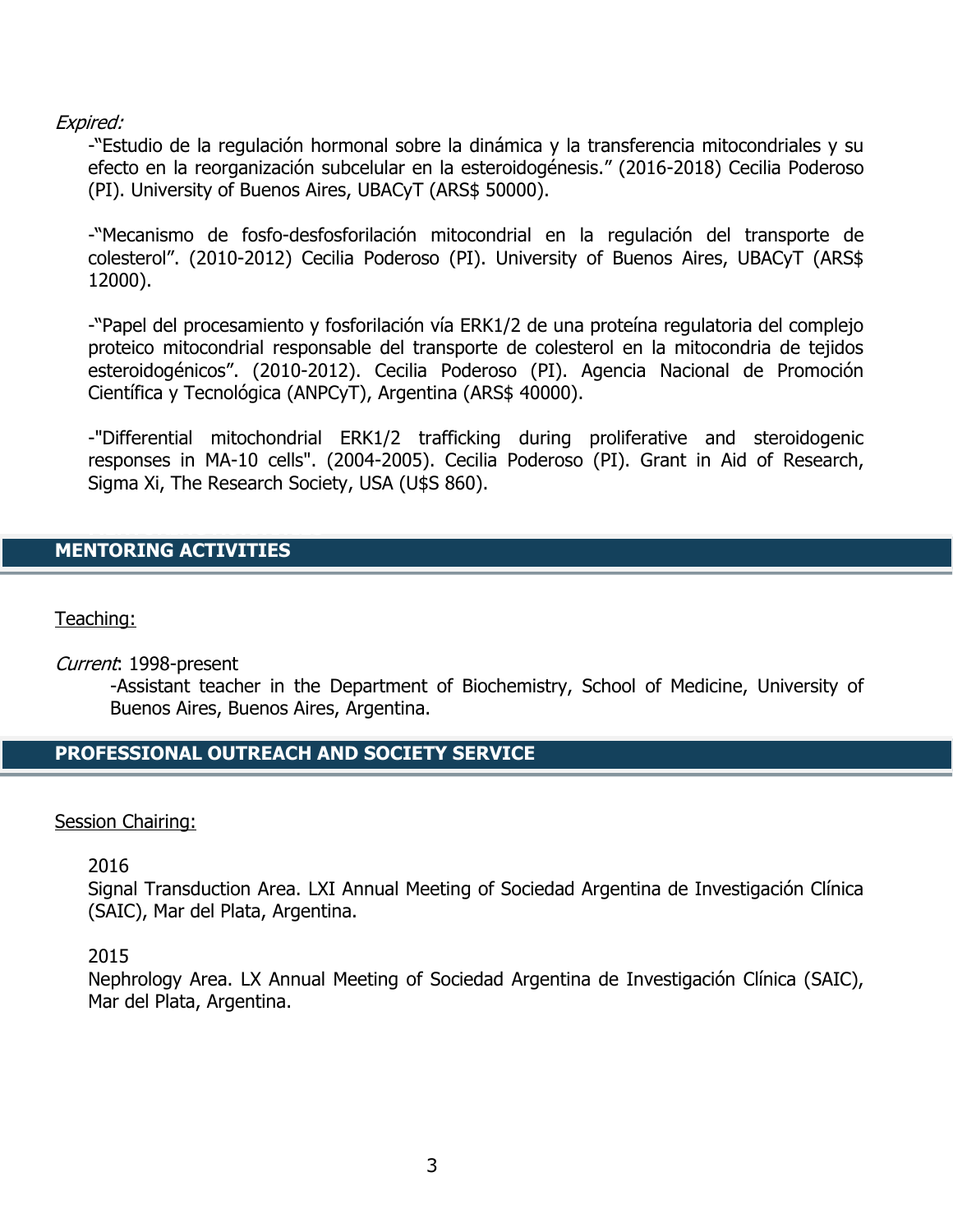# Expired:

-"Estudio de la regulación hormonal sobre la dinámica y la transferencia mitocondriales y su efecto en la reorganización subcelular en la esteroidogénesis." (2016-2018) Cecilia Poderoso (PI). University of Buenos Aires, UBACyT (ARS\$ 50000).

-"Mecanismo de fosfo-desfosforilación mitocondrial en la regulación del transporte de colesterol". (2010-2012) Cecilia Poderoso (PI). University of Buenos Aires, UBACyT (ARS\$ 12000).

-"Papel del procesamiento y fosforilación vía ERK1/2 de una proteína regulatoria del complejo proteico mitocondrial responsable del transporte de colesterol en la mitocondria de tejidos esteroidogénicos". (2010-2012). Cecilia Poderoso (PI). Agencia Nacional de Promoción Científica y Tecnológica (ANPCyT), Argentina (ARS\$ 40000).

-"Differential mitochondrial ERK1/2 trafficking during proliferative and steroidogenic responses in MA-10 cells". (2004-2005). Cecilia Poderoso (PI). Grant in Aid of Research, Sigma Xi, The Research Society, USA (U\$S 860).

# **MENTORING ACTIVITIES**

Teaching:

Current: 1998-present

-Assistant teacher in the Department of Biochemistry, School of Medicine, University of Buenos Aires, Buenos Aires, Argentina.

# **PROFESSIONAL OUTREACH AND SOCIETY SERVICE**

### Session Chairing:

2016

Signal Transduction Area. LXI Annual Meeting of Sociedad Argentina de Investigación Clínica (SAIC), Mar del Plata, Argentina.

2015

Nephrology Area. LX Annual Meeting of Sociedad Argentina de Investigación Clínica (SAIC), Mar del Plata, Argentina.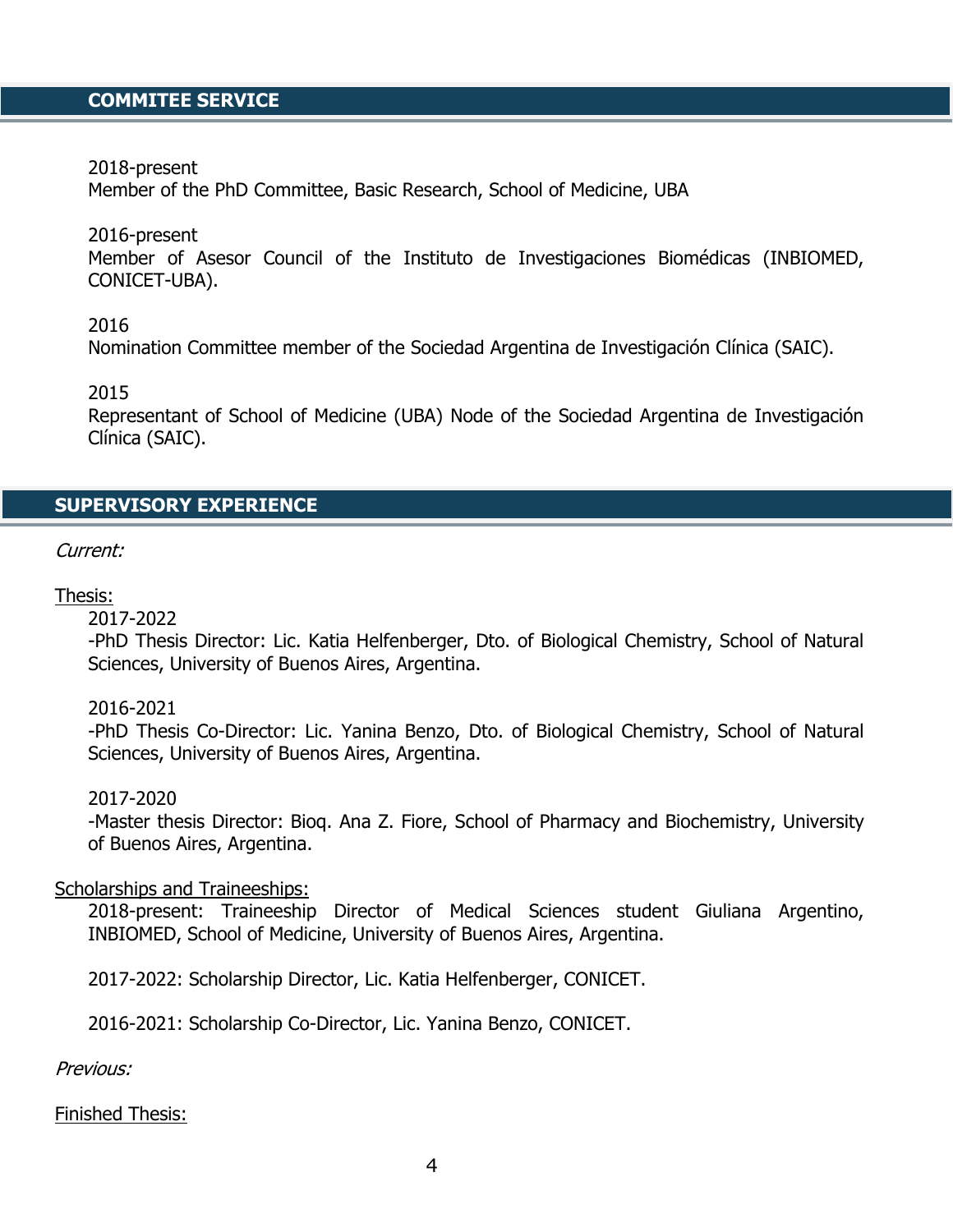# **COMMITEE SERVICE**

2018-present

Member of the PhD Committee, Basic Research, School of Medicine, UBA

2016-present

Member of Asesor Council of the Instituto de Investigaciones Biomédicas (INBIOMED, CONICET-UBA).

2016

Nomination Committee member of the Sociedad Argentina de Investigación Clínica (SAIC).

2015

Representant of School of Medicine (UBA) Node of the Sociedad Argentina de Investigación Clínica (SAIC).

### **SUPERVISORY EXPERIENCE**

Current:

#### Thesis:

2017-2022

-PhD Thesis Director: Lic. Katia Helfenberger, Dto. of Biological Chemistry, School of Natural Sciences, University of Buenos Aires, Argentina.

#### 2016-2021

-PhD Thesis Co-Director: Lic. Yanina Benzo, Dto. of Biological Chemistry, School of Natural Sciences, University of Buenos Aires, Argentina.

#### 2017-2020

-Master thesis Director: Bioq. Ana Z. Fiore, School of Pharmacy and Biochemistry, University of Buenos Aires, Argentina.

#### Scholarships and Traineeships:

2018-present: Traineeship Director of Medical Sciences student Giuliana Argentino, INBIOMED, School of Medicine, University of Buenos Aires, Argentina.

2017-2022: Scholarship Director, Lic. Katia Helfenberger, CONICET.

2016-2021: Scholarship Co-Director, Lic. Yanina Benzo, CONICET.

Previous:

Finished Thesis: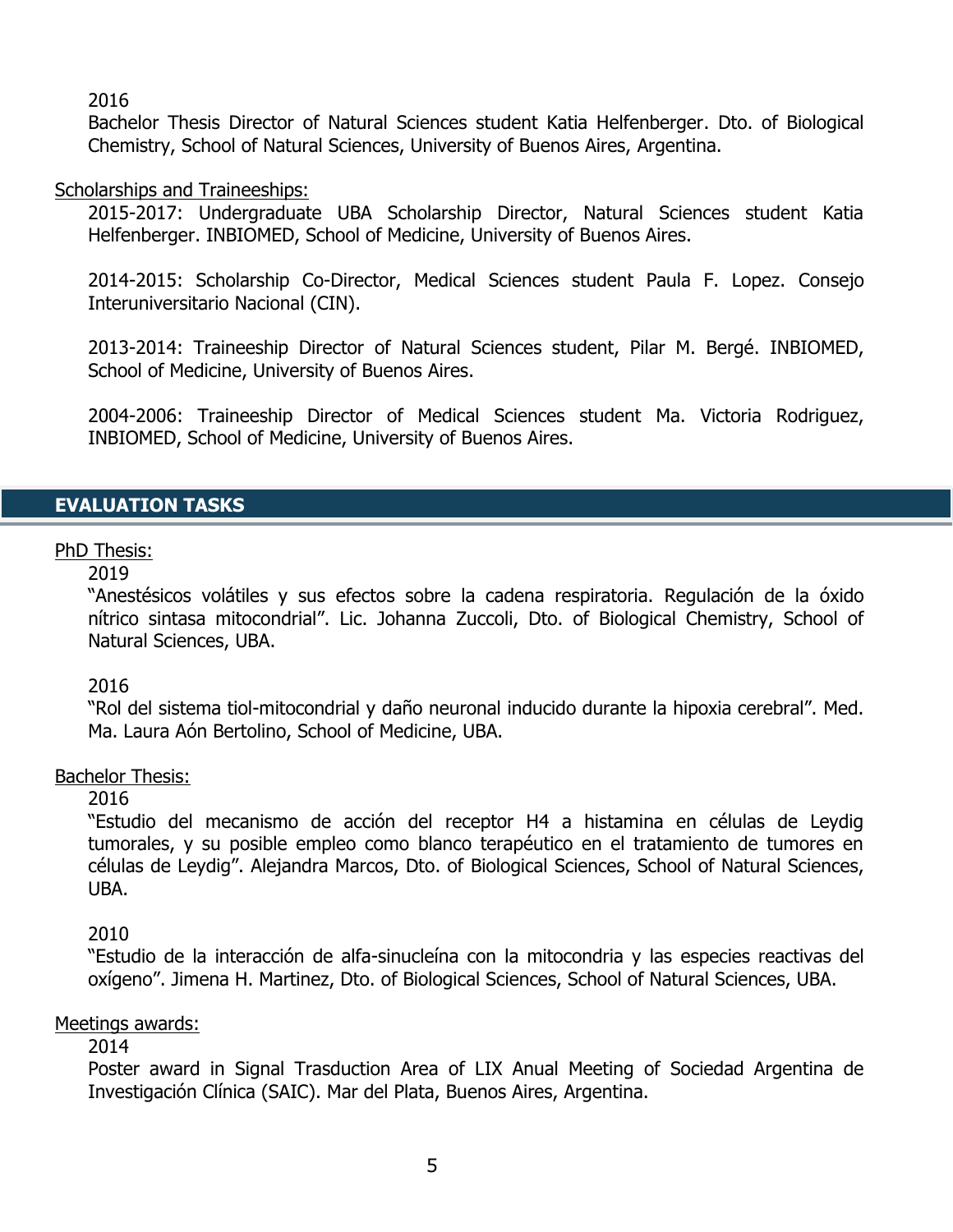# 2016

Bachelor Thesis Director of Natural Sciences student Katia Helfenberger. Dto. of Biological Chemistry, School of Natural Sciences, University of Buenos Aires, Argentina.

# Scholarships and Traineeships:

2015-2017: Undergraduate UBA Scholarship Director, Natural Sciences student Katia Helfenberger. INBIOMED, School of Medicine, University of Buenos Aires.

2014-2015: Scholarship Co-Director, Medical Sciences student Paula F. Lopez. Consejo Interuniversitario Nacional (CIN).

2013-2014: Traineeship Director of Natural Sciences student, Pilar M. Bergé. INBIOMED, School of Medicine, University of Buenos Aires.

2004-2006: Traineeship Director of Medical Sciences student Ma. Victoria Rodriguez, INBIOMED, School of Medicine, University of Buenos Aires.

# **EVALUATION TASKS**

# PhD Thesis:

2019

"Anestésicos volátiles y sus efectos sobre la cadena respiratoria. Regulación de la óxido nítrico sintasa mitocondrial". Lic. Johanna Zuccoli, Dto. of Biological Chemistry, School of Natural Sciences, UBA.

### 2016

"Rol del sistema tiol-mitocondrial y daño neuronal inducido durante la hipoxia cerebral". Med. Ma. Laura Aón Bertolino, School of Medicine, UBA.

### Bachelor Thesis:

### 2016

"Estudio del mecanismo de acción del receptor H4 a histamina en células de Leydig tumorales, y su posible empleo como blanco terapéutico en el tratamiento de tumores en células de Leydig". Alejandra Marcos, Dto. of Biological Sciences, School of Natural Sciences, UBA.

# 2010

"Estudio de la interacción de alfa-sinucleína con la mitocondria y las especies reactivas del oxígeno". Jimena H. Martinez, Dto. of Biological Sciences, School of Natural Sciences, UBA.

### Meetings awards:

### 2014

Poster award in Signal Trasduction Area of LIX Anual Meeting of Sociedad Argentina de Investigación Clínica (SAIC). Mar del Plata, Buenos Aires, Argentina.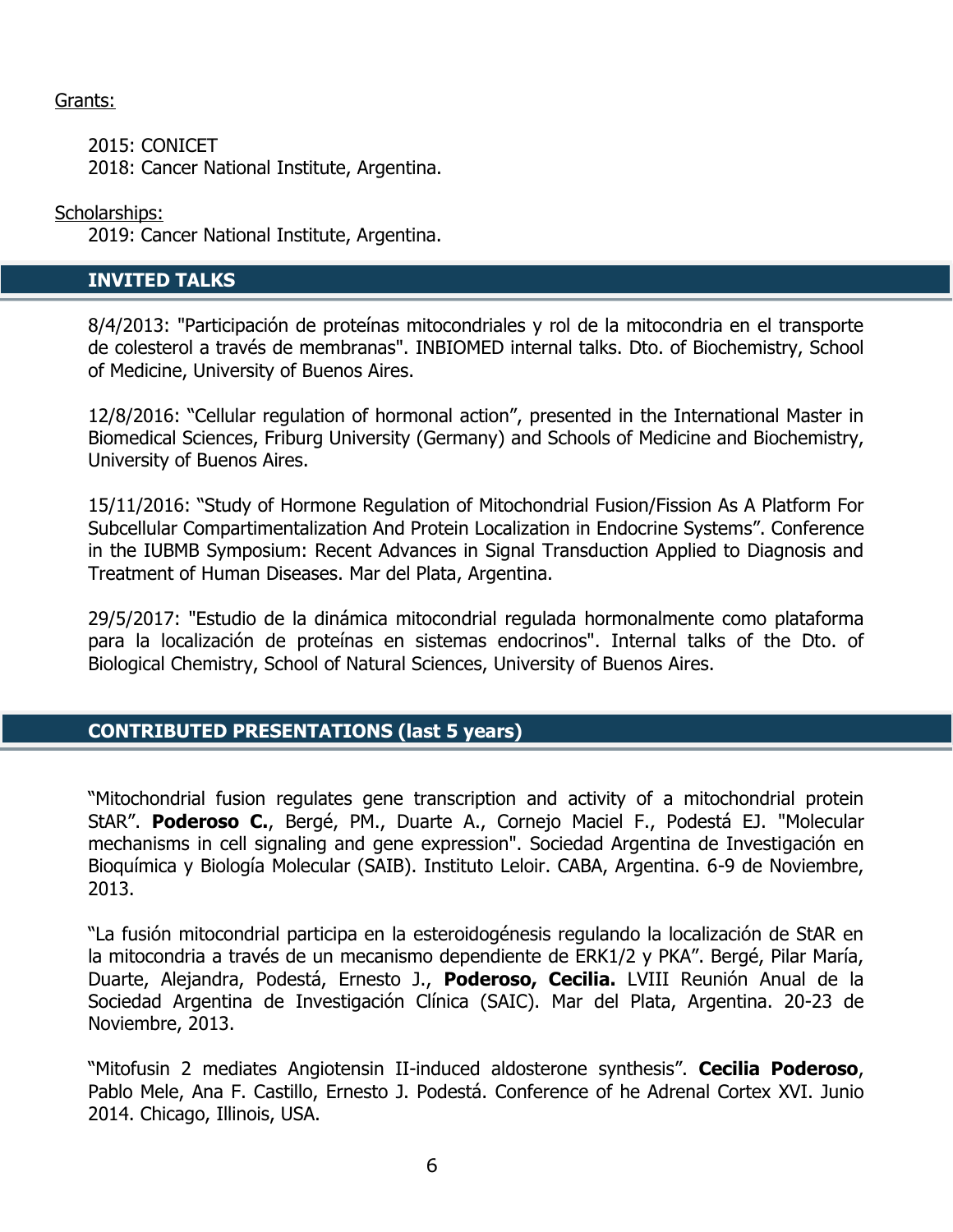# Grants:

2015: CONICET 2018: Cancer National Institute, Argentina.

# Scholarships:

2019: Cancer National Institute, Argentina.

# **INVITED TALKS**

8/4/2013: "Participación de proteínas mitocondriales y rol de la mitocondria en el transporte de colesterol a través de membranas". INBIOMED internal talks. Dto. of Biochemistry, School of Medicine, University of Buenos Aires.

12/8/2016: "Cellular regulation of hormonal action", presented in the International Master in Biomedical Sciences, Friburg University (Germany) and Schools of Medicine and Biochemistry, University of Buenos Aires.

15/11/2016: "Study of Hormone Regulation of Mitochondrial Fusion/Fission As A Platform For Subcellular Compartimentalization And Protein Localization in Endocrine Systems". Conference in the IUBMB Symposium: Recent Advances in Signal Transduction Applied to Diagnosis and Treatment of Human Diseases. Mar del Plata, Argentina.

29/5/2017: "Estudio de la dinámica mitocondrial regulada hormonalmente como plataforma para la localización de proteínas en sistemas endocrinos". Internal talks of the Dto. of Biological Chemistry, School of Natural Sciences, University of Buenos Aires.

# **CONTRIBUTED PRESENTATIONS (last 5 years)**

"Mitochondrial fusion regulates gene transcription and activity of a mitochondrial protein StAR". **Poderoso C.**, Bergé, PM., Duarte A., Cornejo Maciel F., Podestá EJ. "Molecular mechanisms in cell signaling and gene expression". Sociedad Argentina de Investigación en Bioquímica y Biología Molecular (SAIB). Instituto Leloir. CABA, Argentina. 6-9 de Noviembre, 2013.

"La fusión mitocondrial participa en la esteroidogénesis regulando la localización de StAR en la mitocondria a través de un mecanismo dependiente de ERK1/2 y PKA". Bergé, Pilar María, Duarte, Alejandra, Podestá, Ernesto J., **Poderoso, Cecilia.** LVIII Reunión Anual de la Sociedad Argentina de Investigación Clínica (SAIC). Mar del Plata, Argentina. 20-23 de Noviembre, 2013.

"Mitofusin 2 mediates Angiotensin II-induced aldosterone synthesis". **Cecilia Poderoso**, Pablo Mele, Ana F. Castillo, Ernesto J. Podestá. Conference of he Adrenal Cortex XVI. Junio 2014. Chicago, Illinois, USA.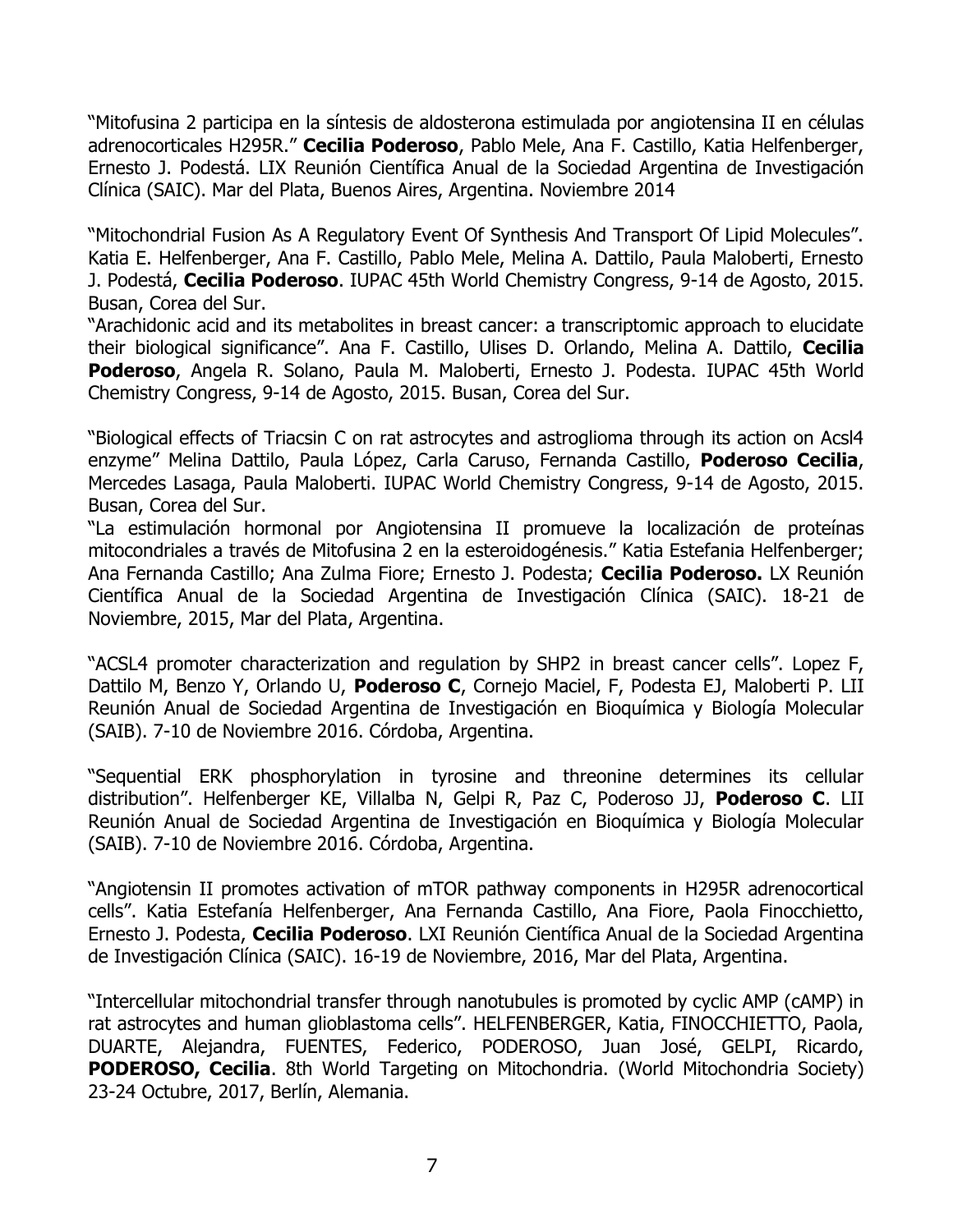"Mitofusina 2 participa en la síntesis de aldosterona estimulada por angiotensina II en células adrenocorticales H295R." **Cecilia Poderoso**, Pablo Mele, Ana F. Castillo, Katia Helfenberger, Ernesto J. Podestá. LIX Reunión Científica Anual de la Sociedad Argentina de Investigación Clínica (SAIC). Mar del Plata, Buenos Aires, Argentina. Noviembre 2014

"Mitochondrial Fusion As A Regulatory Event Of Synthesis And Transport Of Lipid Molecules". Katia E. Helfenberger, Ana F. Castillo, Pablo Mele, Melina A. Dattilo, Paula Maloberti, Ernesto J. Podestá, **Cecilia Poderoso**. IUPAC 45th World Chemistry Congress, 9-14 de Agosto, 2015. Busan, Corea del Sur.

"Arachidonic acid and its metabolites in breast cancer: a transcriptomic approach to elucidate their biological significance". Ana F. Castillo, Ulises D. Orlando, Melina A. Dattilo, **Cecilia Poderoso**, Angela R. Solano, Paula M. Maloberti, Ernesto J. Podesta. IUPAC 45th World Chemistry Congress, 9-14 de Agosto, 2015. Busan, Corea del Sur.

"Biological effects of Triacsin C on rat astrocytes and astroglioma through its action on Acsl4 enzyme" Melina Dattilo, Paula López, Carla Caruso, Fernanda Castillo, **Poderoso Cecilia**, Mercedes Lasaga, Paula Maloberti. IUPAC World Chemistry Congress, 9-14 de Agosto, 2015. Busan, Corea del Sur.

"La estimulación hormonal por Angiotensina II promueve la localización de proteínas mitocondriales a través de Mitofusina 2 en la esteroidogénesis." Katia Estefania Helfenberger; Ana Fernanda Castillo; Ana Zulma Fiore; Ernesto J. Podesta; **Cecilia Poderoso.** LX Reunión Científica Anual de la Sociedad Argentina de Investigación Clínica (SAIC). 18-21 de Noviembre, 2015, Mar del Plata, Argentina.

"ACSL4 promoter characterization and regulation by SHP2 in breast cancer cells". Lopez F, Dattilo M, Benzo Y, Orlando U, **Poderoso C**, Cornejo Maciel, F, Podesta EJ, Maloberti P. LII Reunión Anual de Sociedad Argentina de Investigación en Bioquímica y Biología Molecular (SAIB). 7-10 de Noviembre 2016. Córdoba, Argentina.

"Sequential ERK phosphorylation in tyrosine and threonine determines its cellular distribution". Helfenberger KE, Villalba N, Gelpi R, Paz C, Poderoso JJ, **Poderoso C**. LII Reunión Anual de Sociedad Argentina de Investigación en Bioquímica y Biología Molecular (SAIB). 7-10 de Noviembre 2016. Córdoba, Argentina.

"Angiotensin II promotes activation of mTOR pathway components in H295R adrenocortical cells". Katia Estefanía Helfenberger, Ana Fernanda Castillo, Ana Fiore, Paola Finocchietto, Ernesto J. Podesta, **Cecilia Poderoso**. LXI Reunión Científica Anual de la Sociedad Argentina de Investigación Clínica (SAIC). 16-19 de Noviembre, 2016, Mar del Plata, Argentina.

"Intercellular mitochondrial transfer through nanotubules is promoted by cyclic AMP (cAMP) in rat astrocytes and human glioblastoma cells". HELFENBERGER, Katia, FINOCCHIETTO, Paola, DUARTE, Alejandra, FUENTES, Federico, PODEROSO, Juan José, GELPI, Ricardo, **PODEROSO, Cecilia.** 8th World Targeting on Mitochondria. (World Mitochondria Society) 23-24 Octubre, 2017, Berlín, Alemania.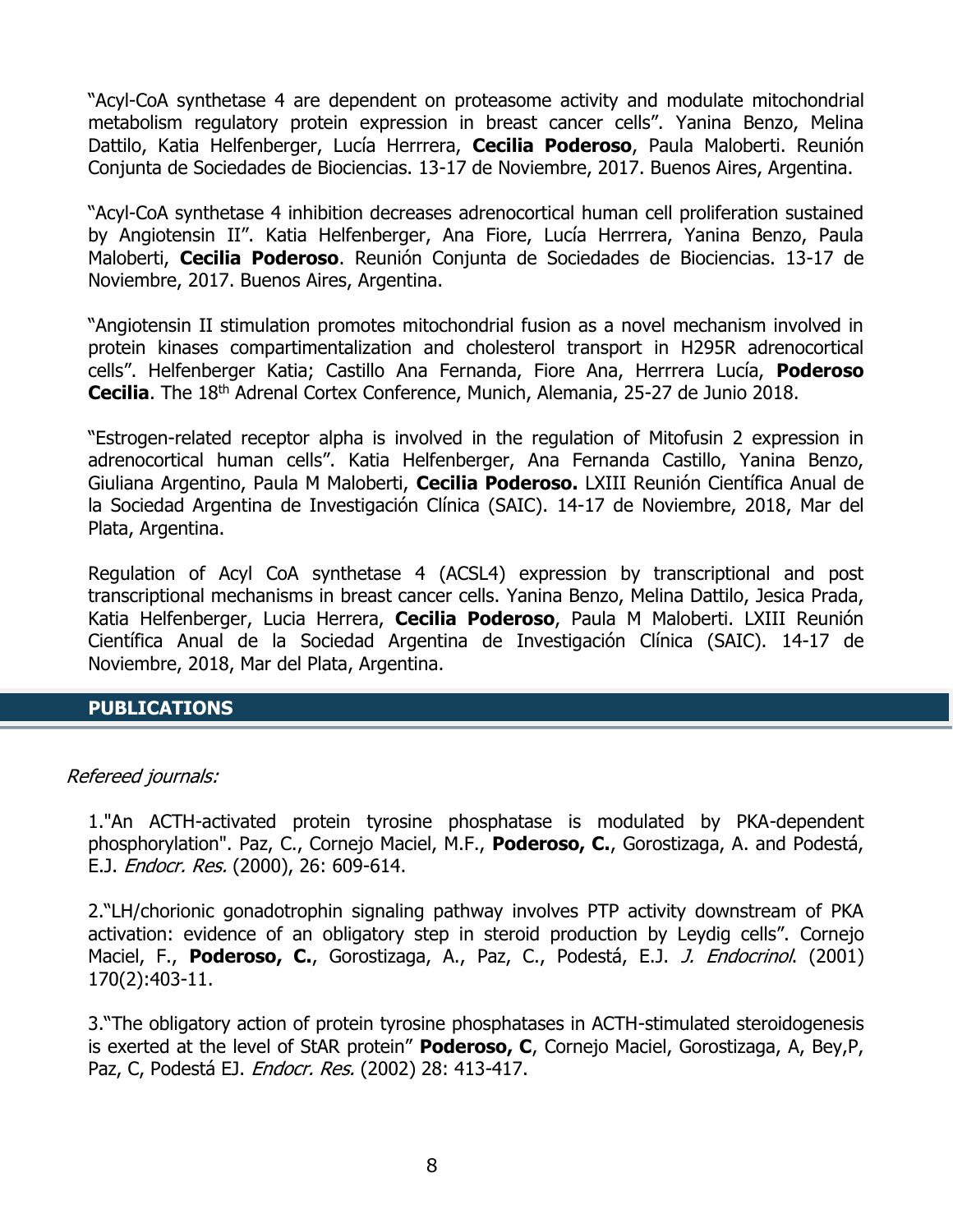"Acyl-CoA synthetase 4 are dependent on proteasome activity and modulate mitochondrial metabolism regulatory protein expression in breast cancer cells". Yanina Benzo, Melina Dattilo, Katia Helfenberger, Lucía Herrrera, **Cecilia Poderoso**, Paula Maloberti. Reunión Conjunta de Sociedades de Biociencias. 13-17 de Noviembre, 2017. Buenos Aires, Argentina.

"Acyl-CoA synthetase 4 inhibition decreases adrenocortical human cell proliferation sustained by Angiotensin II". Katia Helfenberger, Ana Fiore, Lucía Herrrera, Yanina Benzo, Paula Maloberti, **Cecilia Poderoso**. Reunión Conjunta de Sociedades de Biociencias. 13-17 de Noviembre, 2017. Buenos Aires, Argentina.

"Angiotensin II stimulation promotes mitochondrial fusion as a novel mechanism involved in protein kinases compartimentalization and cholesterol transport in H295R adrenocortical cells". Helfenberger Katia; Castillo Ana Fernanda, Fiore Ana, Herrrera Lucía, **Poderoso Cecilia**. The 18th Adrenal Cortex Conference, Munich, Alemania, 25-27 de Junio 2018.

"Estrogen-related receptor alpha is involved in the regulation of Mitofusin 2 expression in adrenocortical human cells". Katia Helfenberger, Ana Fernanda Castillo, Yanina Benzo, Giuliana Argentino, Paula M Maloberti, **Cecilia Poderoso.** LXIII Reunión Científica Anual de la Sociedad Argentina de Investigación Clínica (SAIC). 14-17 de Noviembre, 2018, Mar del Plata, Argentina.

Regulation of Acyl CoA synthetase 4 (ACSL4) expression by transcriptional and post transcriptional mechanisms in breast cancer cells. Yanina Benzo, Melina Dattilo, Jesica Prada, Katia Helfenberger, Lucia Herrera, **Cecilia Poderoso**, Paula M Maloberti. LXIII Reunión Científica Anual de la Sociedad Argentina de Investigación Clínica (SAIC). 14-17 de Noviembre, 2018, Mar del Plata, Argentina.

### **PUBLICATIONS**

### Refereed journals:

1."An ACTH-activated protein tyrosine phosphatase is modulated by PKA-dependent phosphorylation". Paz, C., Cornejo Maciel, M.F., **Poderoso, C.**, Gorostizaga, A. and Podestá, E.J. Endocr. Res. (2000), 26: 609-614.

2."LH/chorionic gonadotrophin signaling pathway involves PTP activity downstream of PKA activation: evidence of an obligatory step in steroid production by Leydig cells". Cornejo Maciel, F., **Poderoso, C.**, Gorostizaga, A., Paz, C., Podestá, E.J. J. Endocrinol. (2001) 170(2):403-11.

3."The obligatory action of protein tyrosine phosphatases in ACTH-stimulated steroidogenesis is exerted at the level of StAR protein" **Poderoso, C**, Cornejo Maciel, Gorostizaga, A, Bey,P, Paz, C, Podestá EJ. *Endocr. Res.* (2002) 28: 413-417.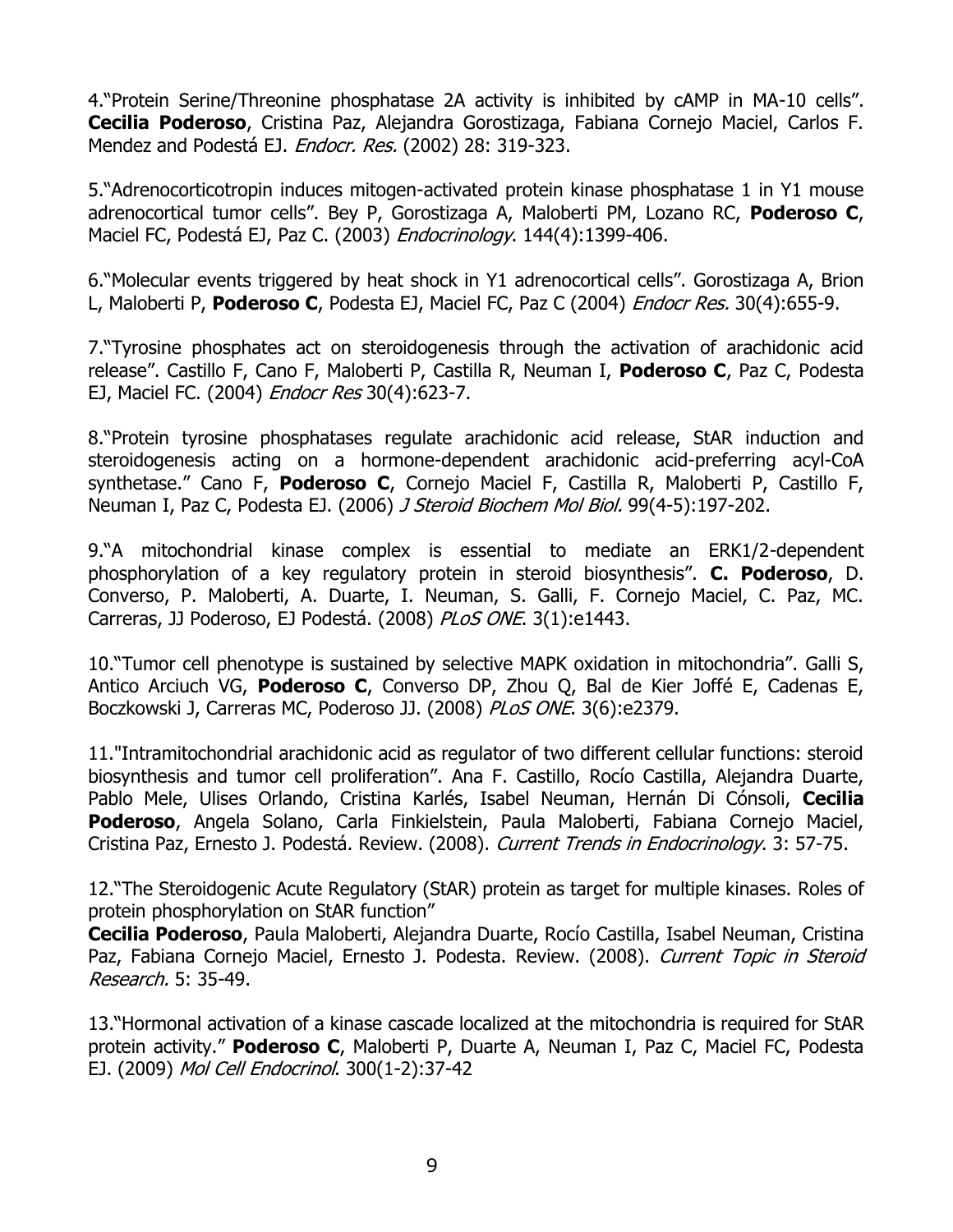4."Protein Serine/Threonine phosphatase 2A activity is inhibited by cAMP in MA-10 cells". **Cecilia Poderoso**, Cristina Paz, Alejandra Gorostizaga, Fabiana Cornejo Maciel, Carlos F. Mendez and Podestá EJ. Endocr. Res. (2002) 28: 319-323.

5."Adrenocorticotropin induces mitogen-activated protein kinase phosphatase 1 in Y1 mouse adrenocortical tumor cells". Bey P, Gorostizaga A, Maloberti PM, Lozano RC, **Poderoso C**, Maciel FC, Podestá EJ, Paz C. (2003) Endocrinology. 144(4):1399-406.

6."Molecular events triggered by heat shock in Y1 adrenocortical cells". Gorostizaga A, Brion L, Maloberti P, **Poderoso C**, Podesta EJ, Maciel FC, Paz C (2004) Endocr Res. 30(4):655-9.

7."Tyrosine phosphates act on steroidogenesis through the activation of arachidonic acid release". Castillo F, Cano F, Maloberti P, Castilla R, Neuman I, **Poderoso C**, Paz C, Podesta EJ, Maciel FC. (2004) *Endocr Res* 30(4):623-7.

8."Protein tyrosine phosphatases regulate arachidonic acid release, StAR induction and steroidogenesis acting on a hormone-dependent arachidonic acid-preferring acyl-CoA synthetase." Cano F, **Poderoso C**, Cornejo Maciel F, Castilla R, Maloberti P, Castillo F, Neuman I, Paz C, Podesta EJ. (2006) J Steroid Biochem Mol Biol. 99(4-5):197-202.

9."A mitochondrial kinase complex is essential to mediate an ERK1/2-dependent phosphorylation of a key regulatory protein in steroid biosynthesis". **C. Poderoso**, D. Converso, P. Maloberti, A. Duarte, I. Neuman, S. Galli, F. Cornejo Maciel, C. Paz, MC. Carreras, JJ Poderoso, EJ Podestá. (2008) PLoS ONE. 3(1):e1443.

10."Tumor cell phenotype is sustained by selective MAPK oxidation in mitochondria". Galli S, Antico Arciuch VG, **Poderoso C**, Converso DP, Zhou Q, Bal de Kier Joffé E, Cadenas E, Boczkowski J, Carreras MC, Poderoso JJ. (2008) PLoS ONE. 3(6):e2379.

11."Intramitochondrial arachidonic acid as regulator of two different cellular functions: steroid biosynthesis and tumor cell proliferation". Ana F. Castillo, Rocío Castilla, Alejandra Duarte, Pablo Mele, Ulises Orlando, Cristina Karlés, Isabel Neuman, Hernán Di Cónsoli, **Cecilia Poderoso**, Angela Solano, Carla Finkielstein, Paula Maloberti, Fabiana Cornejo Maciel, Cristina Paz, Ernesto J. Podestá. Review. (2008). Current Trends in Endocrinology. 3: 57-75.

12."The Steroidogenic Acute Regulatory (StAR) protein as target for multiple kinases. Roles of protein phosphorylation on StAR function"

**Cecilia Poderoso**, Paula Maloberti, Alejandra Duarte, Rocío Castilla, Isabel Neuman, Cristina Paz, Fabiana Cornejo Maciel, Ernesto J. Podesta. Review. (2008). Current Topic in Steroid Research. 5: 35-49.

13."[Hormonal activation of a kinase cascade localized at the mitochondria is required for StAR](http://www.ncbi.nlm.nih.gov/pubmed/19007846?ordinalpos=1&itool=EntrezSystem2.PEntrez.Pubmed.Pubmed_ResultsPanel.Pubmed_DefaultReportPanel.Pubmed_RVDocSum)  [protein activity.](http://www.ncbi.nlm.nih.gov/pubmed/19007846?ordinalpos=1&itool=EntrezSystem2.PEntrez.Pubmed.Pubmed_ResultsPanel.Pubmed_DefaultReportPanel.Pubmed_RVDocSum)" **Poderoso C**, Maloberti P, Duarte A, Neuman I, Paz C, Maciel FC, Podesta EJ. (2009) Mol Cell Endocrinol. 300(1-2):37-42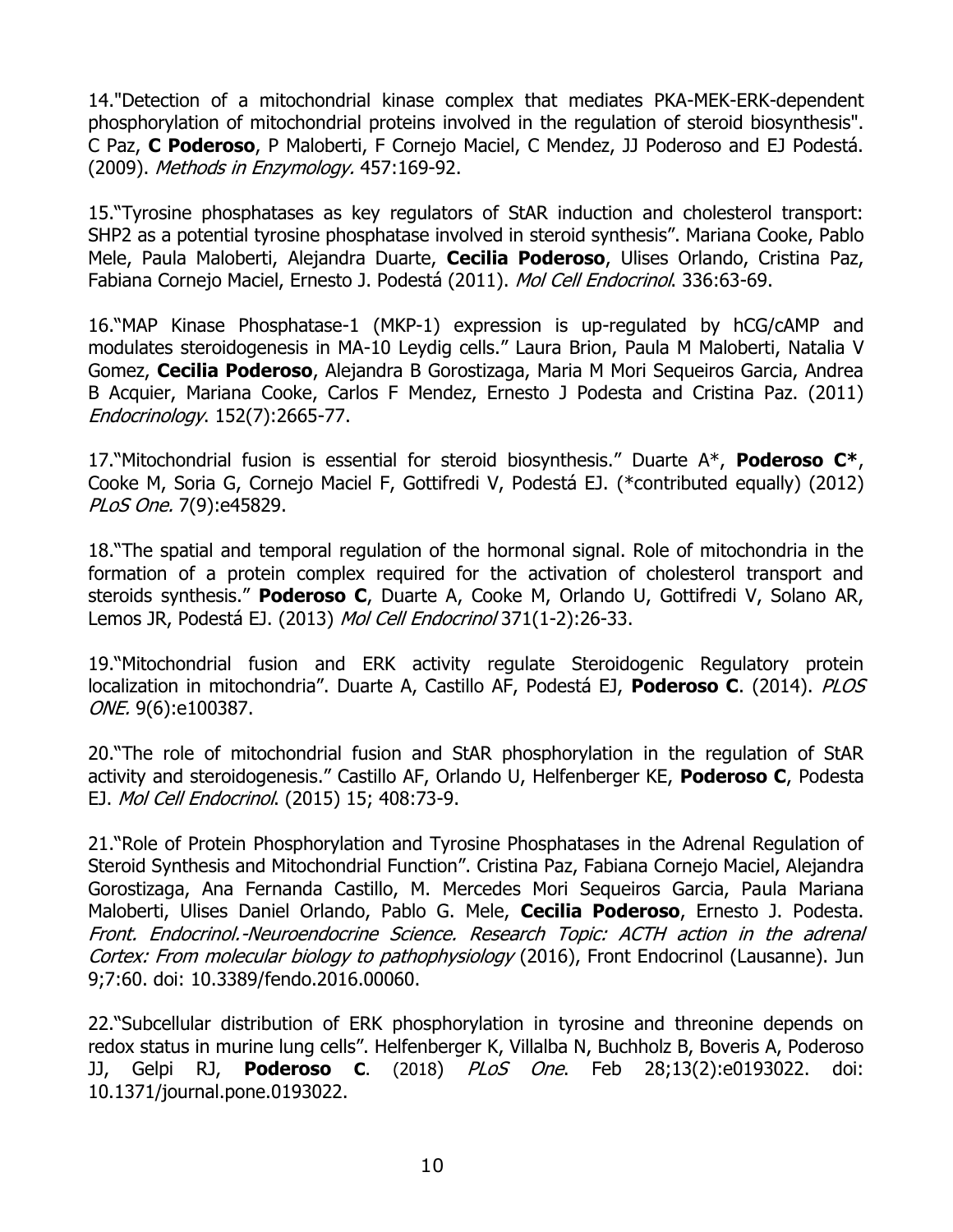14."Detection of a mitochondrial kinase complex that mediates PKA-MEK-ERK-dependent phosphorylation of mitochondrial proteins involved in the regulation of steroid biosynthesis". C Paz, **C Poderoso**, P Maloberti, F Cornejo Maciel, C Mendez, JJ Poderoso and EJ Podestá. (2009). Methods in Enzymology. 457:169-92.

15."Tyrosine phosphatases as key regulators of StAR induction and cholesterol transport: SHP2 as a potential tyrosine phosphatase involved in steroid synthesis". Mariana Cooke, Pablo Mele, Paula Maloberti, Alejandra Duarte, **Cecilia Poderoso**, Ulises Orlando, Cristina Paz, Fabiana Cornejo Maciel, Ernesto J. Podestá (2011). Mol Cell Endocrinol. 336:63-69.

16."MAP Kinase Phosphatase-1 (MKP-1) expression is up-regulated by hCG/cAMP and modulates steroidogenesis in MA-10 Leydig cells." Laura Brion, Paula M Maloberti, Natalia V Gomez, **Cecilia Poderoso**, Alejandra B Gorostizaga, Maria M Mori Sequeiros Garcia, Andrea B Acquier, Mariana Cooke, Carlos F Mendez, Ernesto J Podesta and Cristina Paz. (2011) Endocrinology. 152(7):2665-77.

17."Mitochondrial fusion is essential for steroid biosynthesis." Duarte A\*, **Poderoso C\***, Cooke M, Soria G, Cornejo Maciel F, Gottifredi V, Podestá EJ. (\*contributed equally) (2012) PLoS One. 7(9):e45829.

18."The spatial and temporal regulation of the hormonal signal. Role of mitochondria in the formation of a protein complex required for the activation of cholesterol transport and steroids synthesis." **Poderoso C**, Duarte A, Cooke M, Orlando U, Gottifredi V, Solano AR, Lemos JR, Podestá EJ. (2013) Mol Cell Endocrinol 371(1-2):26-33.

19."Mitochondrial fusion and ERK activity regulate Steroidogenic Regulatory protein localization in mitochondria". Duarte A, Castillo AF, Podestá EJ, **Poderoso C**. (2014). PLOS ONE. 9(6):e100387.

20."The role of mitochondrial fusion and StAR phosphorylation in the regulation of StAR activity and steroidogenesis." Castillo AF, Orlando U, Helfenberger KE, **Poderoso C**, Podesta EJ. Mol Cell Endocrinol. (2015) 15; 408:73-9.

21."Role of Protein Phosphorylation and Tyrosine Phosphatases in the Adrenal Regulation of Steroid Synthesis and Mitochondrial Function". Cristina Paz, Fabiana Cornejo Maciel, Alejandra Gorostizaga, Ana Fernanda Castillo, M. Mercedes Mori Sequeiros Garcia, Paula Mariana Maloberti, Ulises Daniel Orlando, Pablo G. Mele, **Cecilia Poderoso**, Ernesto J. Podesta. Front. Endocrinol.-Neuroendocrine Science. Research Topic: ACTH action in the adrenal Cortex: From molecular biology to pathophysiology (2016), Front Endocrinol (Lausanne). Jun 9;7:60. doi: 10.3389/fendo.2016.00060.

22."Subcellular distribution of ERK phosphorylation in tyrosine and threonine depends on redox status in murine lung cells". Helfenberger K, Villalba N, Buchholz B, Boveris A, Poderoso JJ, Gelpi RJ, **Poderoso C**. (2018) PLoS One. Feb 28;13(2):e0193022. doi: 10.1371/journal.pone.0193022.